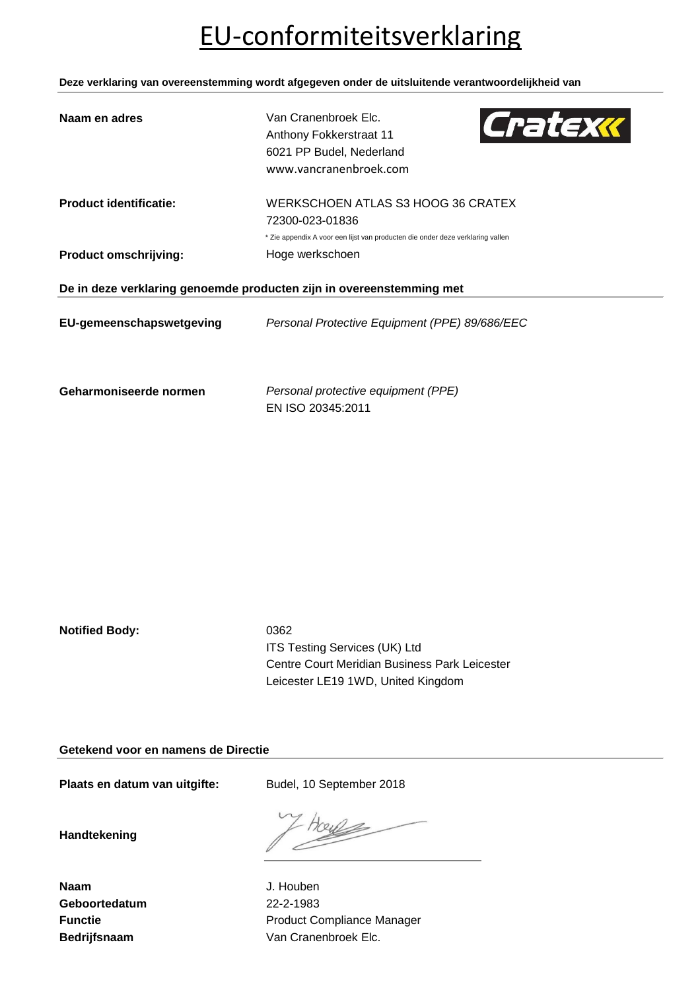## EU-conformiteitsverklaring

**Deze verklaring van overeenstemming wordt afgegeven onder de uitsluitende verantwoordelijkheid van**

| Naam en adres                                                        | Van Cranenbroek Elc.<br>Cratexx<br>Anthony Fokkerstraat 11<br>6021 PP Budel, Nederland<br>www.vancranenbroek.com |  |
|----------------------------------------------------------------------|------------------------------------------------------------------------------------------------------------------|--|
| <b>Product identificatie:</b>                                        | WERKSCHOEN ATLAS S3 HOOG 36 CRATEX<br>72300-023-01836                                                            |  |
|                                                                      | * Zie appendix A voor een lijst van producten die onder deze verklaring vallen                                   |  |
| <b>Product omschrijving:</b>                                         | Hoge werkschoen                                                                                                  |  |
| De in deze verklaring genoemde producten zijn in overeenstemming met |                                                                                                                  |  |
| EU-gemeenschapswetgeving                                             | Personal Protective Equipment (PPE) 89/686/EEC                                                                   |  |
| Geharmoniseerde normen                                               | Personal protective equipment (PPE)                                                                              |  |

EN ISO 20345:2011

**Notified Body:** 0362

ITS Testing Services (UK) Ltd Centre Court Meridian Business Park Leicester Leicester LE19 1WD, United Kingdom

**Getekend voor en namens de Directie**

Plaats en datum van uitgifte: Budel, 10 September 2018

**Handtekening**

**Naam** J. Houben **Geboortedatum** 22-2-1983

**Functie Functie Function Product Compliance Manager** Bedrijfsnaam **Van Cranenbroek Elc.** Van Cranenbroek Elc.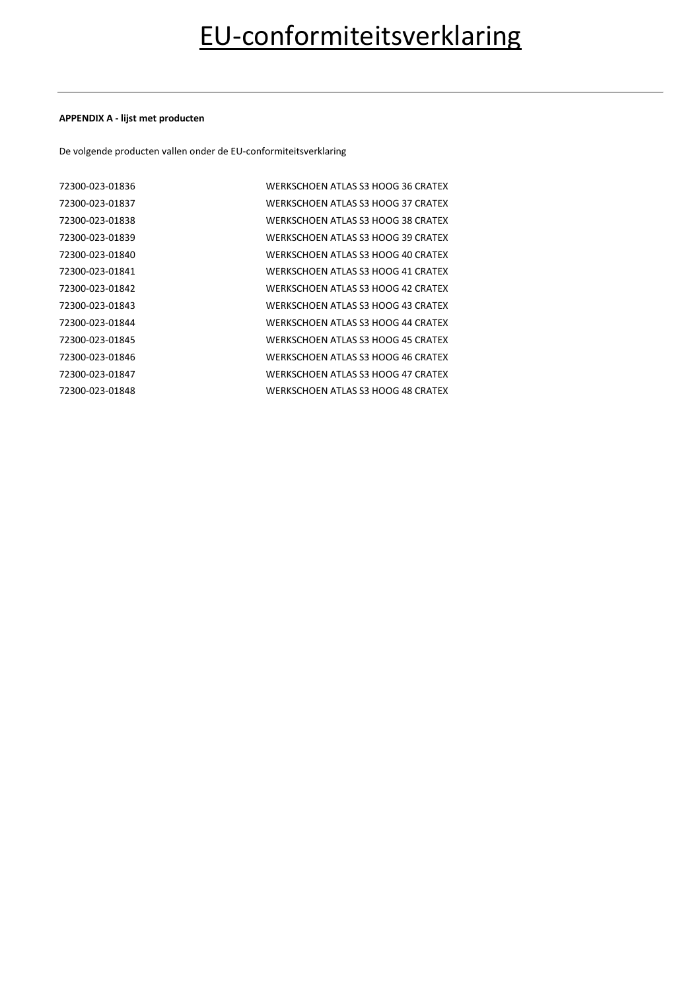### **APPENDIX A - lijst met producten**

De volgende producten vallen onder de EU-conformiteitsverklaring

| 72300-023-01836 | WERKSCHOEN ATLAS S3 HOOG 36 CRATEX |
|-----------------|------------------------------------|
| 72300-023-01837 | WERKSCHOEN ATLAS S3 HOOG 37 CRATEX |
| 72300-023-01838 | WERKSCHOEN ATLAS S3 HOOG 38 CRATEX |
| 72300-023-01839 | WERKSCHOEN ATLAS S3 HOOG 39 CRATEX |
| 72300-023-01840 | WERKSCHOEN ATLAS S3 HOOG 40 CRATEX |
| 72300-023-01841 | WERKSCHOEN ATLAS S3 HOOG 41 CRATEX |
| 72300-023-01842 | WERKSCHOEN ATLAS S3 HOOG 42 CRATEX |
| 72300-023-01843 | WERKSCHOEN ATLAS S3 HOOG 43 CRATEX |
| 72300-023-01844 | WERKSCHOEN ATLAS S3 HOOG 44 CRATEX |
| 72300-023-01845 | WERKSCHOEN ATLAS S3 HOOG 45 CRATEX |
| 72300-023-01846 | WERKSCHOEN ATLAS S3 HOOG 46 CRATEX |
| 72300-023-01847 | WERKSCHOEN ATLAS S3 HOOG 47 CRATEX |
| 72300-023-01848 | WERKSCHOEN ATLAS S3 HOOG 48 CRATEX |
|                 |                                    |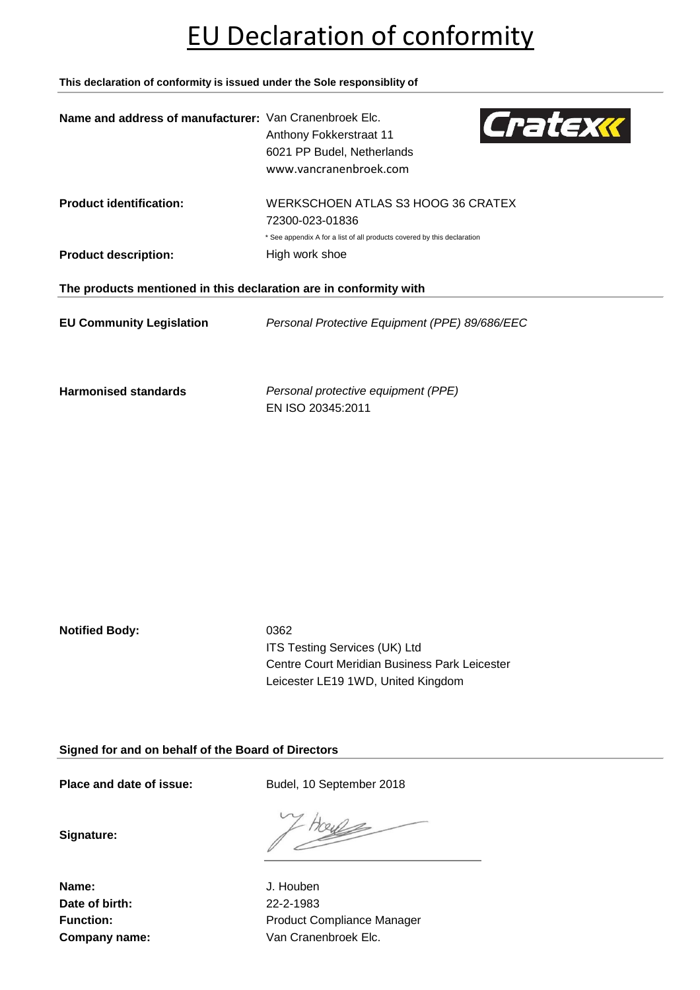### EU Declaration of conformity

**This declaration of conformity is issued under the Sole responsiblity of**

| Name and address of manufacturer: Van Cranenbroek Elc.            | Cratexk<br>Anthony Fokkerstraat 11<br>6021 PP Budel, Netherlands<br>www.vancranenbroek.com |  |
|-------------------------------------------------------------------|--------------------------------------------------------------------------------------------|--|
| <b>Product identification:</b>                                    | WERKSCHOEN ATLAS S3 HOOG 36 CRATEX<br>72300-023-01836                                      |  |
|                                                                   | * See appendix A for a list of all products covered by this declaration                    |  |
| <b>Product description:</b>                                       | High work shoe                                                                             |  |
| The products mentioned in this declaration are in conformity with |                                                                                            |  |
| <b>EU Community Legislation</b>                                   | Personal Protective Equipment (PPE) 89/686/EEC                                             |  |
| <b>Harmonised standards</b>                                       | Personal protective equipment (PPE)                                                        |  |

EN ISO 20345:2011

**Notified Body:** 0362

ITS Testing Services (UK) Ltd Centre Court Meridian Business Park Leicester Leicester LE19 1WD, United Kingdom

**Signed for and on behalf of the Board of Directors**

Place and date of issue: Budel, 10 September 2018

**Signature:**

**Name:** J. Houben **Date of birth:** 22-2-1983

702kl

Function: **Function:** Product Compliance Manager **Company name:** Van Cranenbroek Elc.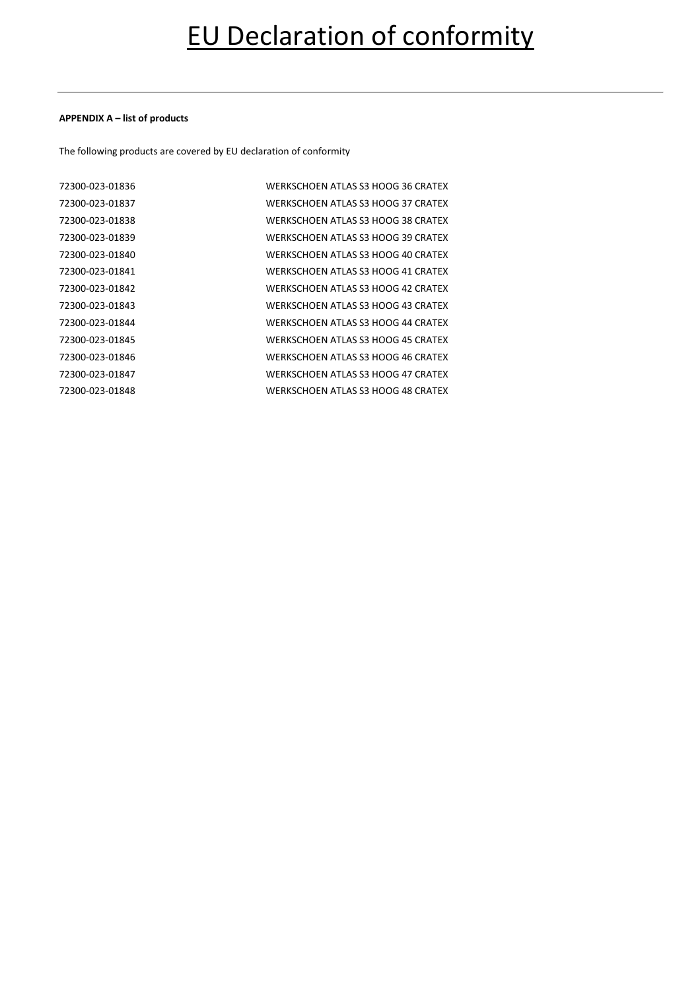#### **APPENDIX A – list of products**

The following products are covered by EU declaration of conformity

| 72300-023-01836 | WERKSCHOEN ATLAS S3 HOOG 36 CRATEX        |
|-----------------|-------------------------------------------|
| 72300-023-01837 | WERKSCHOEN ATLAS S3 HOOG 37 CRATEX        |
| 72300-023-01838 | WERKSCHOEN ATLAS S3 HOOG 38 CRATEX        |
| 72300-023-01839 | WERKSCHOEN ATLAS S3 HOOG 39 CRATEX        |
| 72300-023-01840 | WERKSCHOEN ATLAS S3 HOOG 40 CRATEX        |
| 72300-023-01841 | WERKSCHOEN ATLAS S3 HOOG 41 CRATEX        |
| 72300-023-01842 | WERKSCHOEN ATLAS S3 HOOG 42 CRATEX        |
| 72300-023-01843 | WERKSCHOEN ATI AS S3 HOOG 43 CRATEX       |
| 72300-023-01844 | WERKSCHOEN ATLAS S3 HOOG 44 CRATEX        |
| 72300-023-01845 | WERKSCHOEN ATI AS S3 HOOG 45 CRATEX       |
| 72300-023-01846 | WERKSCHOEN ATLAS S3 HOOG 46 CRATEX        |
| 72300-023-01847 | WERKSCHOEN ATLAS S3 HOOG 47 CRATEX        |
| 72300-023-01848 | <b>WERKSCHOEN ATLAS S3 HOOG 48 CRATEX</b> |
|                 |                                           |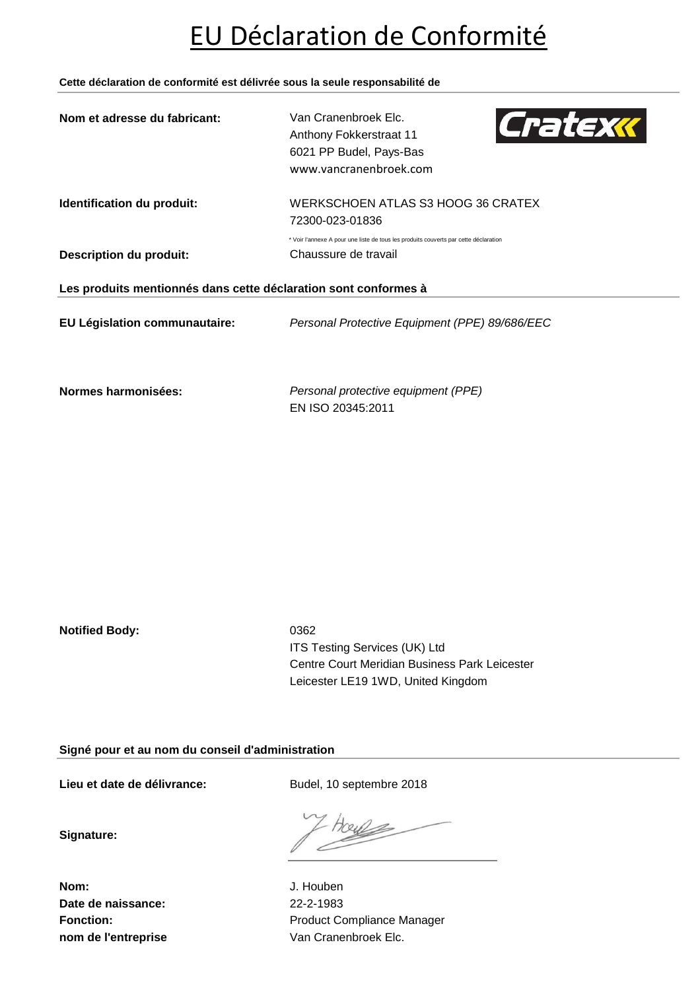### EU Déclaration de Conformité

**Cette déclaration de conformité est délivrée sous la seule responsabilité de**

| Nom et adresse du fabricant:                                    | Van Cranenbroek Elc.<br>Cratexk<br>Anthony Fokkerstraat 11<br>6021 PP Budel, Pays-Bas<br>www.vancranenbroek.com |  |
|-----------------------------------------------------------------|-----------------------------------------------------------------------------------------------------------------|--|
| Identification du produit:                                      | WERKSCHOEN ATLAS S3 HOOG 36 CRATEX<br>72300-023-01836                                                           |  |
|                                                                 | * Voir l'annexe A pour une liste de tous les produits couverts par cette déclaration                            |  |
| <b>Description du produit:</b>                                  | Chaussure de travail                                                                                            |  |
| Les produits mentionnés dans cette déclaration sont conformes à |                                                                                                                 |  |
| EU Législation communautaire:                                   | Personal Protective Equipment (PPE) 89/686/EEC                                                                  |  |
|                                                                 |                                                                                                                 |  |

**Normes harmonisées:** *Personal protective equipment (PPE)* EN ISO 20345:2011

**Notified Body:** 0362

ITS Testing Services (UK) Ltd Centre Court Meridian Business Park Leicester Leicester LE19 1WD, United Kingdom

**Signé pour et au nom du conseil d'administration**

Lieu et date de délivrance: Budel, 10 septembre 2018

**Signature:**

7024k

**Nom:** J. Houben **Date de naissance:** 22-2-1983

Fonction: **Fonction:** Product Compliance Manager **nom de l'entreprise** Van Cranenbroek Elc.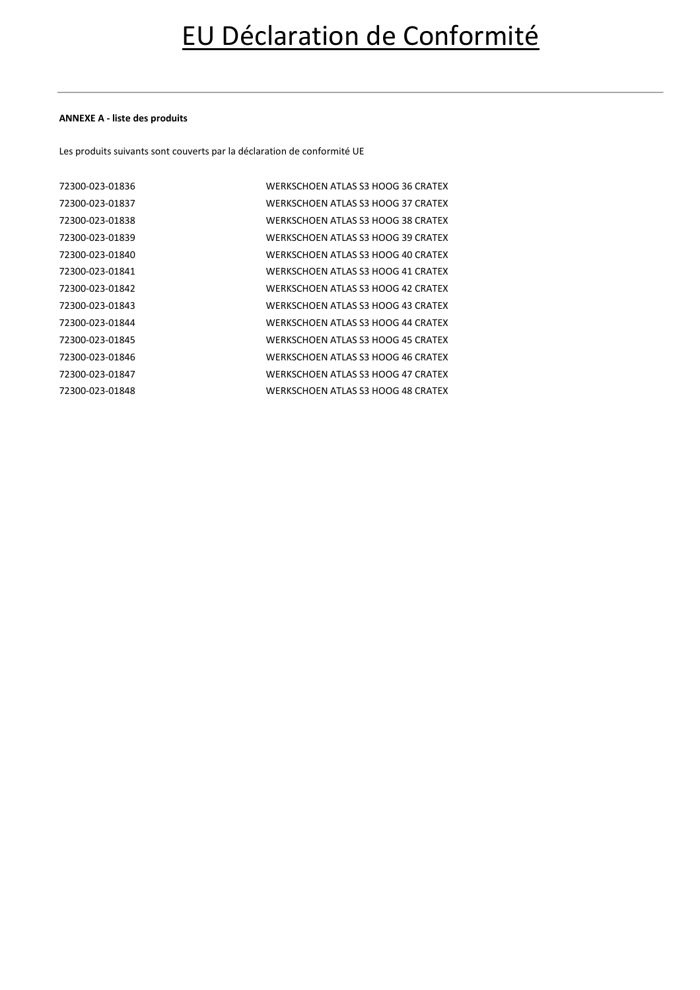### **ANNEXE A - liste des produits**

Les produits suivants sont couverts par la déclaration de conformité UE

| 72300-023-01836 | WERKSCHOEN ATI AS S3 HOOG 36 CRATEX |
|-----------------|-------------------------------------|
| 72300-023-01837 | WERKSCHOEN ATI AS S3 HOOG 37 CRATEX |
| 72300-023-01838 | WERKSCHOEN ATLAS S3 HOOG 38 CRATEX  |
| 72300-023-01839 | WERKSCHOEN ATLAS S3 HOOG 39 CRATEX  |
| 72300-023-01840 | WERKSCHOEN ATLAS S3 HOOG 40 CRATEX  |
| 72300-023-01841 | WERKSCHOEN ATLAS S3 HOOG 41 CRATEX  |
| 72300-023-01842 | WERKSCHOEN ATI AS S3 HOOG 42 CRATEX |
| 72300-023-01843 | WERKSCHOEN ATLAS S3 HOOG 43 CRATEX  |
| 72300-023-01844 | WERKSCHOEN ATI AS S3 HOOG 44 CRATEX |
| 72300-023-01845 | WERKSCHOEN ATLAS S3 HOOG 45 CRATEX  |
| 72300-023-01846 | WERKSCHOEN ATI AS S3 HOOG 46 CRATEX |
| 72300-023-01847 | WERKSCHOEN ATLAS S3 HOOG 47 CRATEX  |
| 72300-023-01848 | WERKSCHOEN ATLAS S3 HOOG 48 CRATEX  |
|                 |                                     |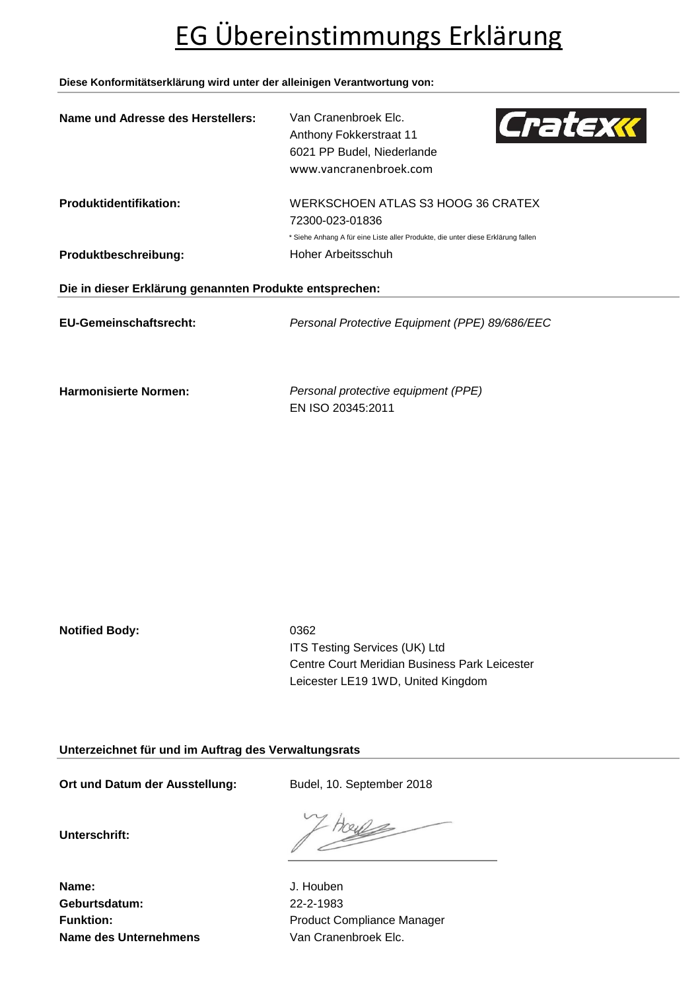# EG Übereinstimmungs Erklärung

### **Diese Konformitätserklärung wird unter der alleinigen Verantwortung von:**

| Name und Adresse des Herstellers:                       | Van Cranenbroek Elc.<br>Cratexx<br>Anthony Fokkerstraat 11<br>6021 PP Budel, Niederlande<br>www.vancranenbroek.com |  |
|---------------------------------------------------------|--------------------------------------------------------------------------------------------------------------------|--|
| <b>Produktidentifikation:</b>                           | WERKSCHOEN ATLAS S3 HOOG 36 CRATEX<br>72300-023-01836                                                              |  |
|                                                         | * Siehe Anhang A für eine Liste aller Produkte, die unter diese Erklärung fallen                                   |  |
| Produktbeschreibung:                                    | Hoher Arbeitsschuh                                                                                                 |  |
| Die in dieser Erklärung genannten Produkte entsprechen: |                                                                                                                    |  |
| EU-Gemeinschaftsrecht:                                  | Personal Protective Equipment (PPE) 89/686/EEC                                                                     |  |
| <b>Harmonisierte Normen:</b>                            | Personal protective equipment (PPE)                                                                                |  |

EN ISO 20345:2011

**Notified Body:** 0362

ITS Testing Services (UK) Ltd Centre Court Meridian Business Park Leicester Leicester LE19 1WD, United Kingdom

**Unterzeichnet für und im Auftrag des Verwaltungsrats**

Ort und Datum der Ausstellung: Budel, 10. September 2018

**Unterschrift:**

noye

**Name:** J. Houben **Geburtsdatum:** 22-2-1983 **Name des Unternehmens** Van Cranenbroek Elc.

Funktion: **Funktion:** Product Compliance Manager